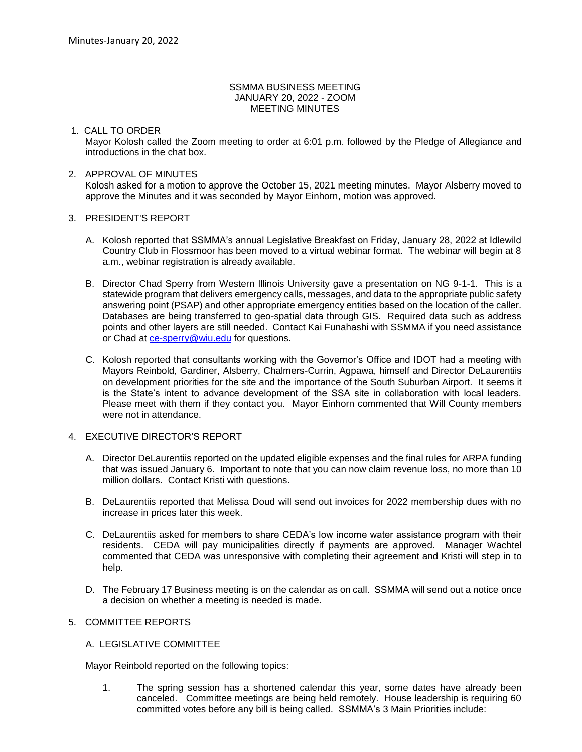#### SSMMA BUSINESS MEETING JANUARY 20, 2022 - ZOOM MEETING MINUTES

### 1. CALL TO ORDER

Mayor Kolosh called the Zoom meeting to order at 6:01 p.m. followed by the Pledge of Allegiance and introductions in the chat box.

### 2. APPROVAL OF MINUTES

Kolosh asked for a motion to approve the October 15, 2021 meeting minutes. Mayor Alsberry moved to approve the Minutes and it was seconded by Mayor Einhorn, motion was approved.

#### 3. PRESIDENT'S REPORT

- A. Kolosh reported that SSMMA's annual Legislative Breakfast on Friday, January 28, 2022 at Idlewild Country Club in Flossmoor has been moved to a virtual webinar format. The webinar will begin at 8 a.m., webinar registration is already available.
- B. Director Chad Sperry from Western Illinois University gave a presentation on NG 9-1-1. This is a statewide program that delivers emergency calls, messages, and data to the appropriate public safety answering point (PSAP) and other appropriate emergency entities based on the location of the caller. Databases are being transferred to geo-spatial data through GIS. Required data such as address points and other layers are still needed. Contact Kai Funahashi with SSMMA if you need assistance or Chad at [ce-sperry@wiu.edu](mailto:ce-sperry@wiu.edu) for questions.
- C. Kolosh reported that consultants working with the Governor's Office and IDOT had a meeting with Mayors Reinbold, Gardiner, Alsberry, Chalmers-Currin, Agpawa, himself and Director DeLaurentiis on development priorities for the site and the importance of the South Suburban Airport. It seems it is the State's intent to advance development of the SSA site in collaboration with local leaders. Please meet with them if they contact you. Mayor Einhorn commented that Will County members were not in attendance.

# 4. EXECUTIVE DIRECTOR'S REPORT

- A. Director DeLaurentiis reported on the updated eligible expenses and the final rules for ARPA funding that was issued January 6. Important to note that you can now claim revenue loss, no more than 10 million dollars. Contact Kristi with questions.
- B. DeLaurentiis reported that Melissa Doud will send out invoices for 2022 membership dues with no increase in prices later this week.
- C. DeLaurentiis asked for members to share CEDA's low income water assistance program with their residents. CEDA will pay municipalities directly if payments are approved. Manager Wachtel commented that CEDA was unresponsive with completing their agreement and Kristi will step in to help.
- D. The February 17 Business meeting is on the calendar as on call. SSMMA will send out a notice once a decision on whether a meeting is needed is made.

## 5. COMMITTEE REPORTS

# A. LEGISLATIVE COMMITTEE

Mayor Reinbold reported on the following topics:

1. The spring session has a shortened calendar this year, some dates have already been canceled. Committee meetings are being held remotely. House leadership is requiring 60 committed votes before any bill is being called. SSMMA's 3 Main Priorities include: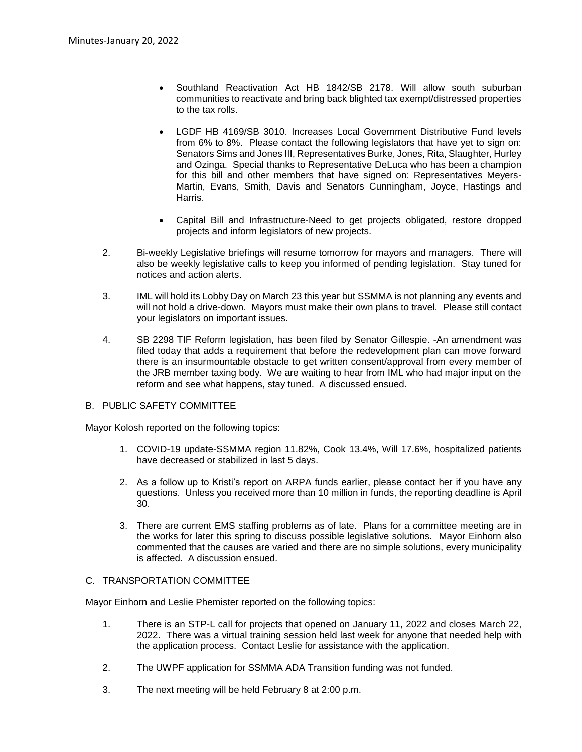- Southland Reactivation Act HB 1842/SB 2178. Will allow south suburban communities to reactivate and bring back blighted tax exempt/distressed properties to the tax rolls.
- LGDF HB 4169/SB 3010. Increases Local Government Distributive Fund levels from 6% to 8%. Please contact the following legislators that have yet to sign on: Senators Sims and Jones III, Representatives Burke, Jones, Rita, Slaughter, Hurley and Ozinga. Special thanks to Representative DeLuca who has been a champion for this bill and other members that have signed on: Representatives Meyers-Martin, Evans, Smith, Davis and Senators Cunningham, Joyce, Hastings and Harris.
- Capital Bill and Infrastructure-Need to get projects obligated, restore dropped projects and inform legislators of new projects.
- 2. Bi-weekly Legislative briefings will resume tomorrow for mayors and managers. There will also be weekly legislative calls to keep you informed of pending legislation. Stay tuned for notices and action alerts.
- 3. IML will hold its Lobby Day on March 23 this year but SSMMA is not planning any events and will not hold a drive-down. Mayors must make their own plans to travel. Please still contact your legislators on important issues.
- 4. SB 2298 TIF Reform legislation, has been filed by Senator Gillespie. -An amendment was filed today that adds a requirement that before the redevelopment plan can move forward there is an insurmountable obstacle to get written consent/approval from every member of the JRB member taxing body. We are waiting to hear from IML who had major input on the reform and see what happens, stay tuned. A discussed ensued.

#### B. PUBLIC SAFETY COMMITTEE

Mayor Kolosh reported on the following topics:

- 1. COVID-19 update-SSMMA region 11.82%, Cook 13.4%, Will 17.6%, hospitalized patients have decreased or stabilized in last 5 days.
- 2. As a follow up to Kristi's report on ARPA funds earlier, please contact her if you have any questions. Unless you received more than 10 million in funds, the reporting deadline is April 30.
- 3. There are current EMS staffing problems as of late. Plans for a committee meeting are in the works for later this spring to discuss possible legislative solutions. Mayor Einhorn also commented that the causes are varied and there are no simple solutions, every municipality is affected. A discussion ensued.

### C. TRANSPORTATION COMMITTEE

Mayor Einhorn and Leslie Phemister reported on the following topics:

- 1. There is an STP-L call for projects that opened on January 11, 2022 and closes March 22, 2022. There was a virtual training session held last week for anyone that needed help with the application process. Contact Leslie for assistance with the application.
- 2. The UWPF application for SSMMA ADA Transition funding was not funded.
- 3. The next meeting will be held February 8 at 2:00 p.m.